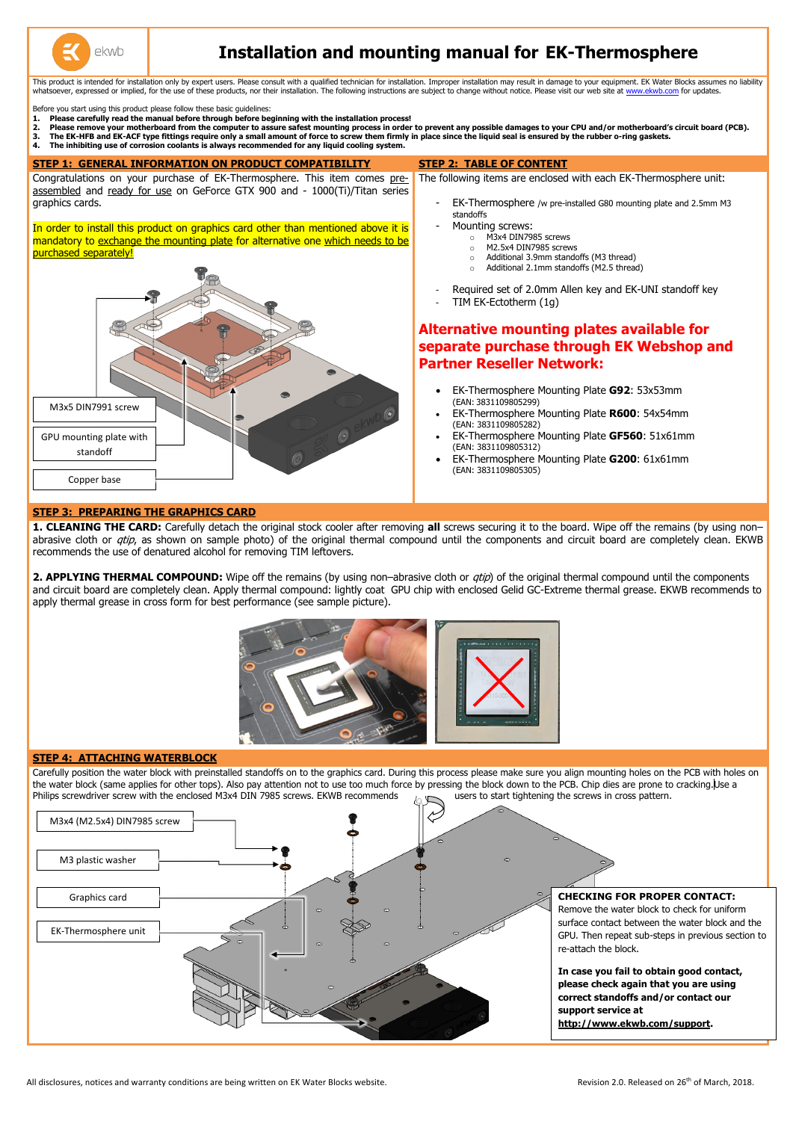

## **Installation and mounting manual for EK-Thermosphere**

This product is intended for installation only by expert users. Please consult with a qualified technician for installation. Improper installation may result in damage to your equipment. EK Water Blocks assumes no liabilit whatsoever, expressed or implied, for the use of these products, nor their installation. The following instructions are subject to change without notice. Please visit our web site a[t www.ekwb.com](http://www.ekwb.com/) for updates.

Before you start using this product please follow these basic guidelines:

- EK-Thermosphere /w pre-installed G80 mounting plate and 2.5mm M3
- Required set of 2.0mm Allen key and EK-UNI standoff key
- **1. Please carefully read the manual before through before beginning with the installation process!**
- **2. Please remove your motherboard from the computer to assure safest mounting process in order to prevent any possible damages to your CPU and/or motherboard's circuit board (PCB).**
- **3. The EK-HFB and EK-ACF type fittings require only a small amount of force to screw them firmly in place since the liquid seal is ensured by the rubber o-ring gaskets.**
- **4. The inhibiting use of corrosion coolants is always recommended for any liquid cooling system.**

**2. APPLYING THERMAL COMPOUND:** Wipe off the remains (by using non–abrasive cloth or *qtip*) of the original thermal compound until the components and circuit board are completely clean. Apply thermal compound: lightly coat GPU chip with enclosed Gelid GC-Extreme thermal grease. EKWB recommends to apply thermal grease in cross form for best performance (see sample picture).

Carefully position the water block with preinstalled standoffs on to the graphics card. During this process please make sure you align mounting holes on the PCB with holes on the water block (same applies for other tops). Also pay attention not to use too much force by pressing the block down to the PCB. Chip dies are prone to cracking.Use a Philips screwdriver screw with the enclosed M3x4 DIN 7985 screws. EKWB recommends users to start tightening the screws in cross pattern.

The following items are enclosed with each EK-Thermosphere unit:

# **Alternative mounting plates available for separate purchase through EK Webshop and**

#### **STEP 3: PREPARING THE GRAPHICS CARD**

#### **STEP 1: GENERAL INFORMATION ON PRODUCT COMPATIBILITY STEP 2: TABLE OF CONTENT** Congratulations on your purchase of EK-Thermosphere. This item comes preassembled and ready for use on GeForce GTX 900 and - 1000(Ti)/Titan series graphics cards. standoffs Mounting screws: In order to install this product on graphics card other than mentioned above it is o M3x4 DIN7985 screws mandatory to exchange the mounting plate for alternative one which needs to be o M2.5x4 DIN7985 screws purchased separately! o Additional 3.9mm standoffs (M3 thread) Additional 2.1mm standoffs (M2.5 thread) TIM EK-Ectotherm (1g) **Partner Reseller Network:** EK-Thermosphere Mounting Plate **G92**: 53x53mm (EAN: 3831109805299) M3x5 DIN7991 screw O ekwb EK-Thermosphere Mounting Plate **R600**: 54x54mm (EAN: 3831109805282) EK-Thermosphere Mounting Plate **GF560**: 51x61mm GPU mounting plate with (EAN: 3831109805312) standoff EK-Thermosphere Mounting Plate **G200**: 61x61mm (EAN: 3831109805305) Copper base

**1. CLEANING THE CARD:** Carefully detach the original stock cooler after removing **all** screws securing it to the board. Wipe off the remains (by using non– abrasive cloth or *qtip*, as shown on sample photo) of the original thermal compound until the components and circuit board are completely clean. EKWB recommends the use of denatured alcohol for removing TIM leftovers.



#### **STEP 4: ATTACHING WATERBLOCK**

M3x4 (M2.5x4) DIN7985 screw





#### **CHECKING FOR PROPER CONTACT:**

Remove the water block to check for uniform surface contact between the water block and the GPU. Then repeat sub-steps in previous section to re-attach the block.

**In case you fail to obtain good contact, please check again that you are using correct standoffs and/or contact our support service at http://www.ekwb.com/support.**

All disclosures, notices and warranty conditions are being written on EK Water Blocks website. Revision 2.0. Released on 26<sup>th</sup> of March, 2018.